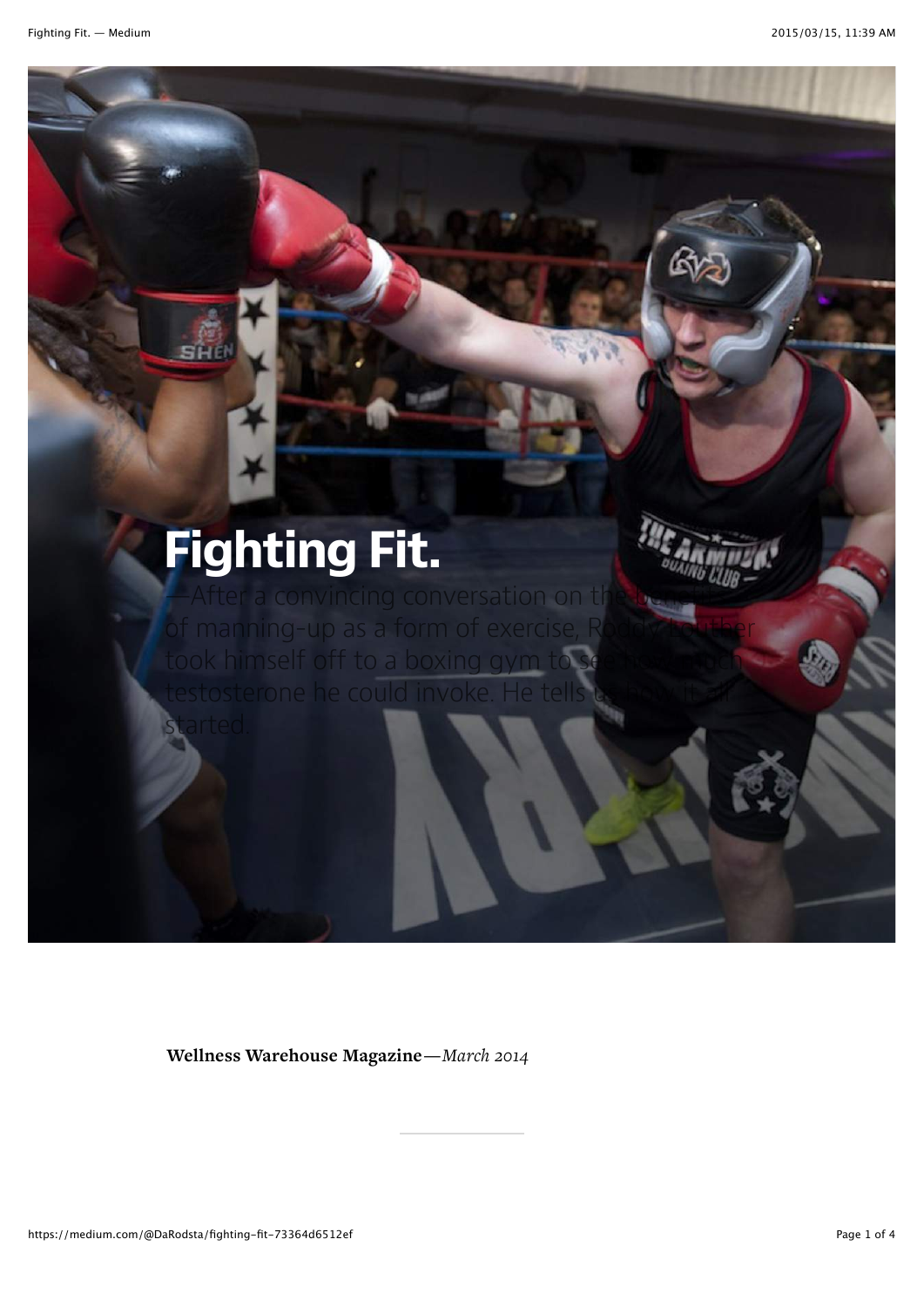## Fighting Fit.

of manning-up as a form of exer took himself off to a boxing gym

started.

Wellness Warehouse Magazine—*March 2014*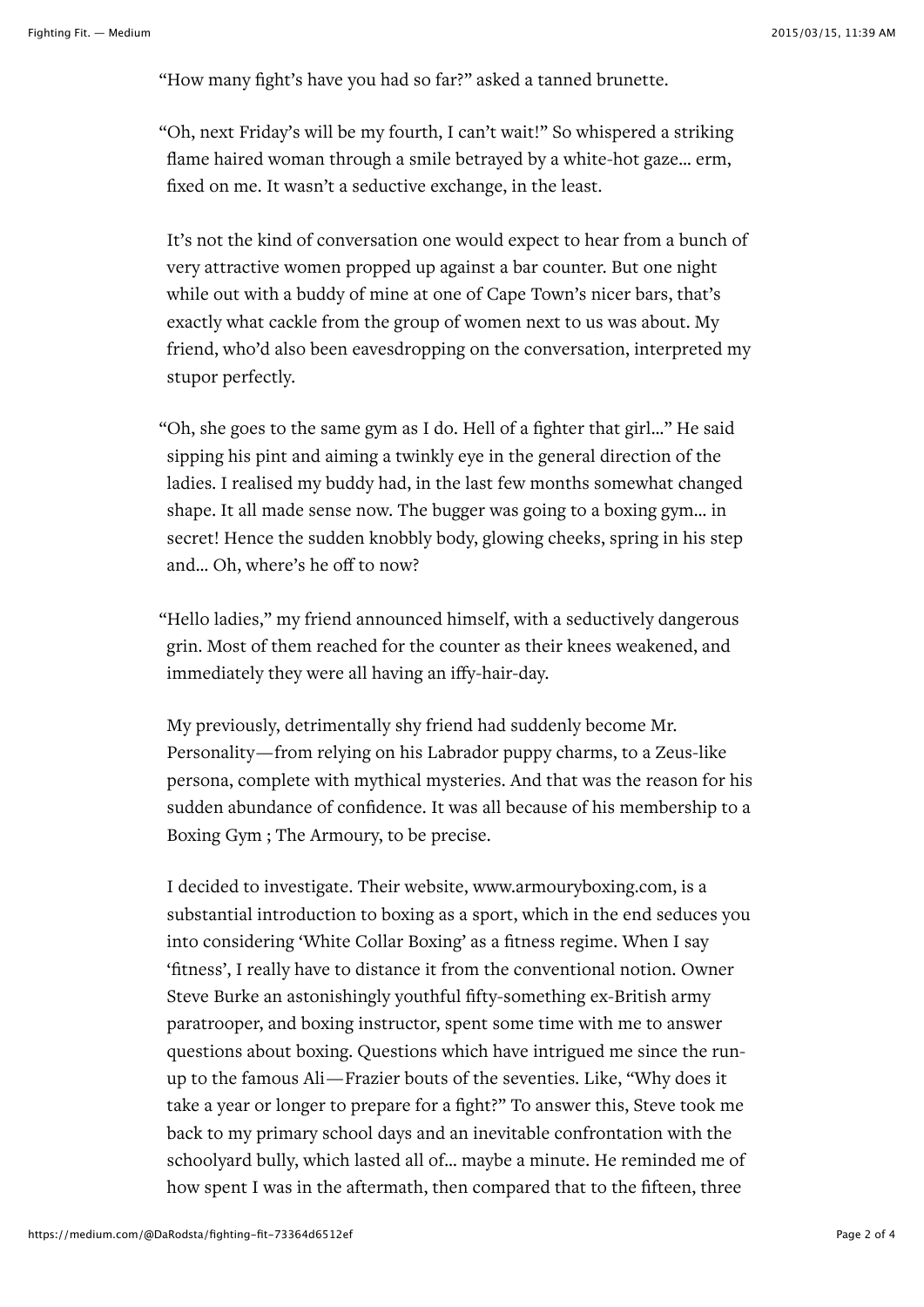"How many fight's have you had so far?" asked a tanned brunette.

"Oh, next Friday's will be my fourth, I can't wait!" So whispered a striking flame haired woman through a smile betrayed by a white-hot gaze… erm, fixed on me. It wasn't a seductive exchange, in the least.

It's not the kind of conversation one would expect to hear from a bunch of very attractive women propped up against a bar counter. But one night while out with a buddy of mine at one of Cape Town's nicer bars, that's exactly what cackle from the group of women next to us was about. My friend, who'd also been eavesdropping on the conversation, interpreted my stupor perfectly.

"Oh, she goes to the same gym as I do. Hell of a fighter that girl…" He said sipping his pint and aiming a twinkly eye in the general direction of the ladies. I realised my buddy had, in the last few months somewhat changed shape. It all made sense now. The bugger was going to a boxing gym… in secret! Hence the sudden knobbly body, glowing cheeks, spring in his step and… Oh, where's he off to now?

"Hello ladies," my friend announced himself, with a seductively dangerous grin. Most of them reached for the counter as their knees weakened, and immediately they were all having an iffy-hair-day.

My previously, detrimentally shy friend had suddenly become Mr. Personality—from relying on his Labrador puppy charms, to a Zeus-like persona, complete with mythical mysteries. And that was the reason for his sudden abundance of confidence. It was all because of his membership to a Boxing Gym ; The Armoury, to be precise.

I decided to investigate. Their website, [www.armouryboxing.com,](http://www.armouryboxing.com%2c/) is a substantial introduction to boxing as a sport, which in the end seduces you into considering 'White Collar Boxing' as a fitness regime. When I say 'fitness', I really have to distance it from the conventional notion. Owner Steve Burke an astonishingly youthful fifty-something ex-British army paratrooper, and boxing instructor, spent some time with me to answer questions about boxing. Questions which have intrigued me since the runup to the famous Ali—Frazier bouts of the seventies. Like, "Why does it take a year or longer to prepare for a fight?" To answer this, Steve took me back to my primary school days and an inevitable confrontation with the schoolyard bully, which lasted all of… maybe a minute. He reminded me of how spent I was in the aftermath, then compared that to the fifteen, three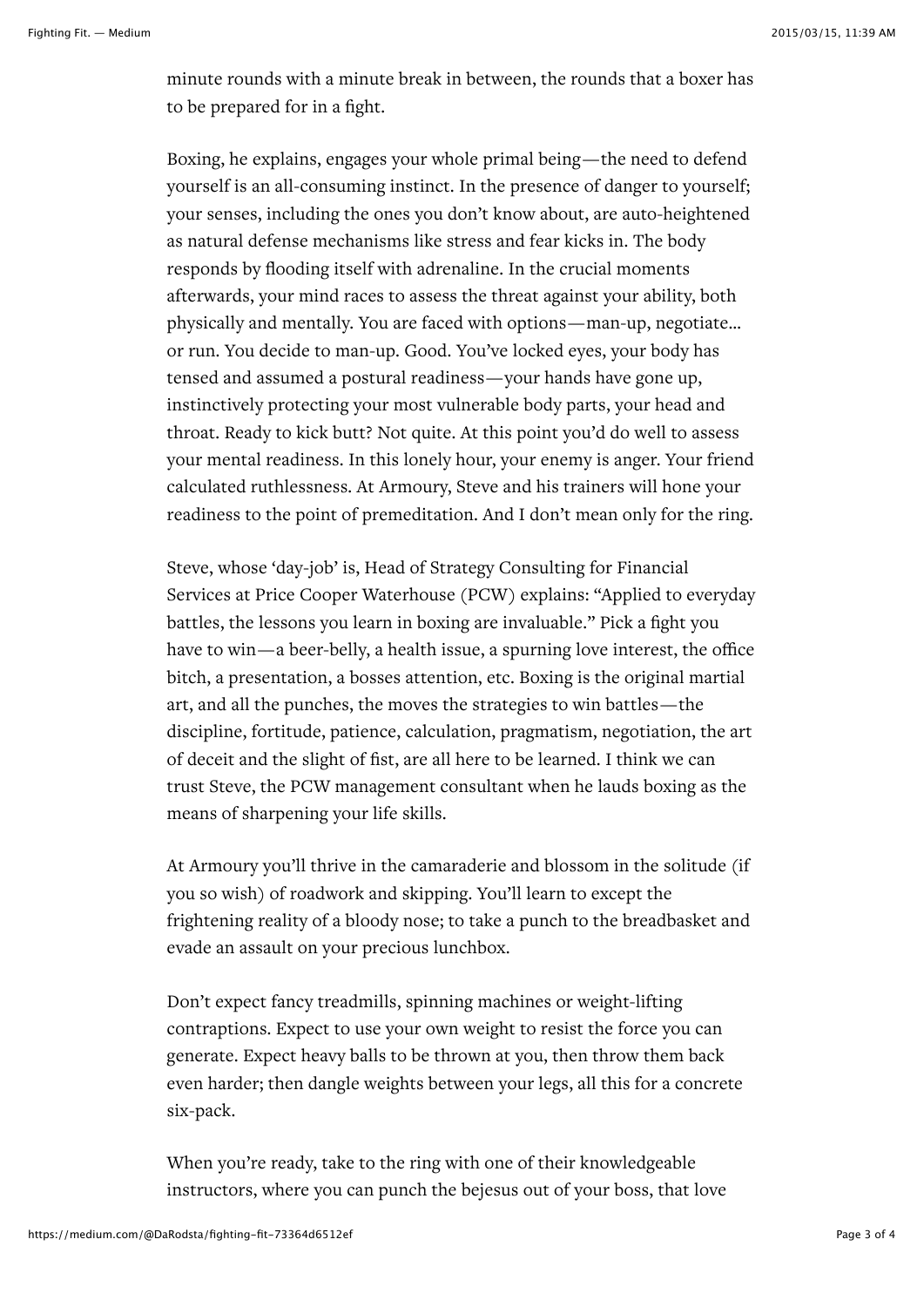minute rounds with a minute break in between, the rounds that a boxer has to be prepared for in a fight.

Boxing, he explains, engages your whole primal being—the need to defend yourself is an all-consuming instinct. In the presence of danger to yourself; your senses, including the ones you don't know about, are auto-heightened as natural defense mechanisms like stress and fear kicks in. The body responds by flooding itself with adrenaline. In the crucial moments afterwards, your mind races to assess the threat against your ability, both physically and mentally. You are faced with options—man-up, negotiate… or run. You decide to man-up. Good. You've locked eyes, your body has tensed and assumed a postural readiness—your hands have gone up, instinctively protecting your most vulnerable body parts, your head and throat. Ready to kick butt? Not quite. At this point you'd do well to assess your mental readiness. In this lonely hour, your enemy is anger. Your friend calculated ruthlessness. At Armoury, Steve and his trainers will hone your readiness to the point of premeditation. And I don't mean only for the ring.

Steve, whose 'day-job' is, Head of Strategy Consulting for Financial Services at Price Cooper Waterhouse (PCW) explains: "Applied to everyday battles, the lessons you learn in boxing are invaluable." Pick a fight you have to win—a beer-belly, a health issue, a spurning love interest, the office bitch, a presentation, a bosses attention, etc. Boxing is the original martial art, and all the punches, the moves the strategies to win battles—the discipline, fortitude, patience, calculation, pragmatism, negotiation, the art of deceit and the slight of fist, are all here to be learned. I think we can trust Steve, the PCW management consultant when he lauds boxing as the means of sharpening your life skills.

At Armoury you'll thrive in the camaraderie and blossom in the solitude (if you so wish) of roadwork and skipping. You'll learn to except the frightening reality of a bloody nose; to take a punch to the breadbasket and evade an assault on your precious lunchbox.

Don't expect fancy treadmills, spinning machines or weight-lifting contraptions. Expect to use your own weight to resist the force you can generate. Expect heavy balls to be thrown at you, then throw them back even harder; then dangle weights between your legs, all this for a concrete six-pack.

When you're ready, take to the ring with one of their knowledgeable instructors, where you can punch the bejesus out of your boss, that love